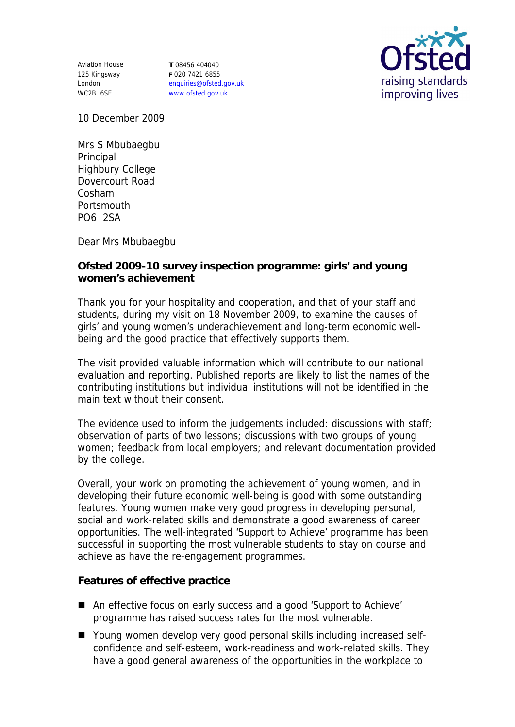Aviation House 125 Kingsway London WC2B 6SE

**T** 08456 404040 **F** 020 7421 6855 enquiries@ofsted.gov.uk www.ofsted.gov.uk



10 December 2009

Mrs S Mbubaegbu Principal Highbury College Dovercourt Road Cosham **Portsmouth** PO6 2SA

Dear Mrs Mbubaegbu

**Ofsted 2009-10 survey inspection programme: girls' and young women's achievement**

Thank you for your hospitality and cooperation, and that of your staff and students, during my visit on 18 November 2009, to examine the causes of girls' and young women's underachievement and long-term economic wellbeing and the good practice that effectively supports them.

The visit provided valuable information which will contribute to our national evaluation and reporting. Published reports are likely to list the names of the contributing institutions but individual institutions will not be identified in the main text without their consent.

The evidence used to inform the judgements included: discussions with staff; observation of parts of two lessons; discussions with two groups of young women; feedback from local employers; and relevant documentation provided by the college.

Overall, your work on promoting the achievement of young women, and in developing their future economic well-being is good with some outstanding features. Young women make very good progress in developing personal, social and work-related skills and demonstrate a good awareness of career opportunities. The well-integrated 'Support to Achieve' programme has been successful in supporting the most vulnerable students to stay on course and achieve as have the re-engagement programmes.

**Features of effective practice**

- An effective focus on early success and a good 'Support to Achieve' programme has raised success rates for the most vulnerable.
- Young women develop very good personal skills including increased selfconfidence and self-esteem, work-readiness and work-related skills. They have a good general awareness of the opportunities in the workplace to